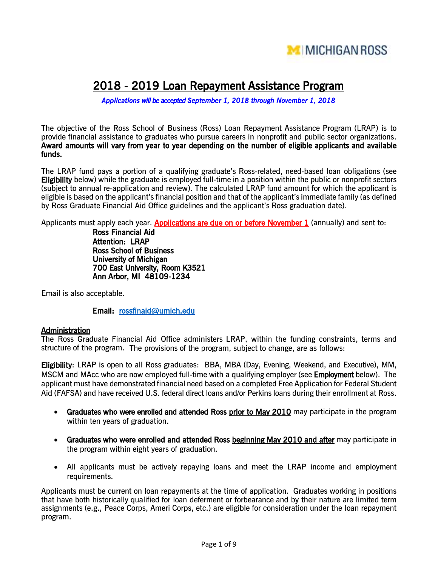

# 2018 - 2019 Loan Repayment Assistance Program

*Applications will be accepted September 1, 2018 through November 1, 2018*

The objective of the Ross School of Business (Ross) Loan Repayment Assistance Program (LRAP) is to provide financial assistance to graduates who pursue careers in nonprofit and public sector organizations. Award amounts will vary from year to year depending on the number of eligible applicants and available funds.

The LRAP fund pays a portion of a qualifying graduate's Ross-related, need-based loan obligations (see Eligibility below) while the graduate is employed full-time in a position within the public or nonprofit sectors (subject to annual re-application and review). The calculated LRAP fund amount for which the applicant is eligible is based on the applicant's financial position and that of the applicant's immediate family (as defined by Ross Graduate Financial Aid Office guidelines and the applicant's Ross graduation date).

Applicants must apply each year. Applications are due on or before November 1 (annually) and sent to:

Ross Financial Aid Attention: LRAP Ross School of Business University of Michigan 700 East University, Room K3521 Ann Arbor, MI 48109-1234

Email is also acceptable.

Email: [rossfinaid@umich.edu](mailto:rossfinaid@umich.edu) 

#### **Administration**

The Ross Graduate Financial Aid Office administers LRAP, within the funding constraints, terms and structure of the program. The provisions of the program, subject to change, are as follows:

Eligibility: LRAP is open to all Ross graduates: BBA, MBA (Day, Evening, Weekend, and Executive), MM, MSCM and MAcc who are now employed full-time with a qualifying employer (see **Employment** below). The applicant must have demonstrated financial need based on a completed Free Application for Federal Student Aid (FAFSA) and have received U.S. federal direct loans and/or Perkins loans during their enrollment at Ross.

- Graduates who were enrolled and attended Ross prior to May 2010 may participate in the program within ten years of graduation.
- Graduates who were enrolled and attended Ross beginning May 2010 and after may participate in the program within eight years of graduation.
- All applicants must be actively repaying loans and meet the LRAP income and employment requirements.

Applicants must be current on loan repayments at the time of application. Graduates working in positions that have both historically qualified for loan deferment or forbearance and by their nature are limited term assignments (e.g., Peace Corps, Ameri Corps, etc.) are eligible for consideration under the loan repayment program.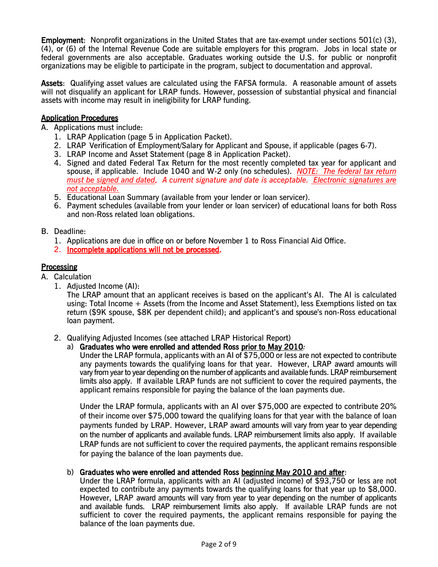Employment: Nonprofit organizations in the United States that are tax-exempt under sections 501(c) (3), (4), or (6) of the Internal Revenue Code are suitable employers for this program. Jobs in local state or federal governments are also acceptable. Graduates working outside the U.S. for public or nonprofit organizations may be eligible to participate in the program, subject to documentation and approval.

Assets: Qualifying asset values are calculated using the FAFSA formula. A reasonable amount of assets will not disqualify an applicant for LRAP funds. However, possession of substantial physical and financial assets with income may result in ineligibility for LRAP funding.

#### Application Procedures

- A. Applications must include:
	- 1. LRAP Application (page 5 in Application Packet).
	- 2. LRAP Verification of Employment/Salary for Applicant and Spouse, if applicable (pages 6-7).
	- 3. LRAP Income and Asset Statement (page 8 in Application Packet).
	- 4. Signed and dated Federal Tax Return for the most recently completed tax year for applicant and spouse, if applicable. Include 1040 and W-2 only (no schedules). *NOTE: The federal tax return must be signed and dated. A current signature and date is acceptable. Electronic signatures are not acceptable.*
	- 5. Educational Loan Summary (available from your lender or loan servicer).
	- 6. Payment schedules (available from your lender or loan servicer) of educational loans for both Ross and non-Ross related loan obligations.

#### B. Deadline:

- 1. Applications are due in office on or before November 1 to Ross Financial Aid Office.
- 2. Incomplete applications will not be processed.

#### **Processing**

- A. Calculation
	- 1. Adjusted Income (AI):

The LRAP amount that an applicant receives is based on the applicant's AI. The AI is calculated using: Total Income + Assets (from the Income and Asset Statement), less Exemptions listed on tax return (\$9K spouse, \$8K per dependent child); and applicant's and spouse's non-Ross educational loan payment.

- 2. Qualifying Adjusted Incomes (see attached LRAP Historical Report)
	- a) Graduates who were enrolled and attended Ross prior to May 2010*:*

Under the LRAP formula, applicants with an AI of \$75,000 or less are not expected to contribute any payments towards the qualifying loans for that year. However, LRAP award amounts will vary from year to year depending on the number of applicants and available funds. LRAP reimbursement limits also apply. If available LRAP funds are not sufficient to cover the required payments, the applicant remains responsible for paying the balance of the loan payments due.

Under the LRAP formula, applicants with an AI over \$75,000 are expected to contribute 20% of their income over \$75,000 toward the qualifying loans for that year with the balance of loan payments funded by LRAP. However, LRAP award amounts will vary from year to year depending on the number of applicants and available funds. LRAP reimbursement limits also apply. If available LRAP funds are not sufficient to cover the required payments, the applicant remains responsible for paying the balance of the loan payments due.

#### b) Graduates who were enrolled and attended Ross beginning May 2010 and after:

Under the LRAP formula, applicants with an AI (adjusted income) of \$93,750 or less are not expected to contribute any payments towards the qualifying loans for that year up to \$8,000. However, LRAP award amounts will vary from year to year depending on the number of applicants and available funds. LRAP reimbursement limits also apply. If available LRAP funds are not sufficient to cover the required payments, the applicant remains responsible for paying the balance of the loan payments due.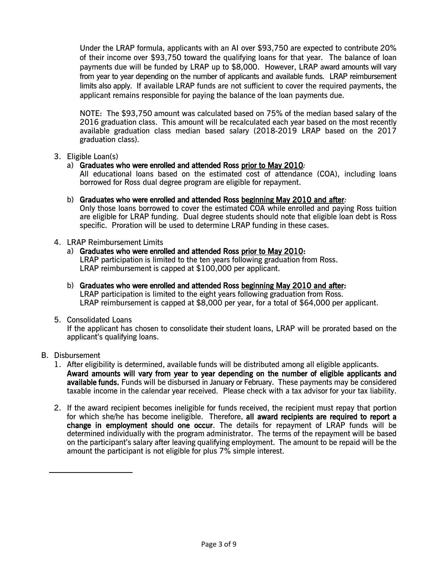Under the LRAP formula, applicants with an AI over \$93,750 are expected to contribute 20% of their income over \$93,750 toward the qualifying loans for that year. The balance of loan payments due will be funded by LRAP up to \$8,000. However, LRAP award amounts will vary from year to year depending on the number of applicants and available funds. LRAP reimbursement limits also apply. If available LRAP funds are not sufficient to cover the required payments, the applicant remains responsible for paying the balance of the loan payments due.

NOTE: The \$93,750 amount was calculated based on 75% of the median based salary of the 2016 graduation class. This amount will be recalculated each year based on the most recently available graduation class median based salary (2018-2019 LRAP based on the 2017 graduation class).

#### 3. Eligible Loan(s)

#### a) Graduates who were enrolled and attended Ross prior to May 2010*:*

All educational loans based on the estimated cost of attendance (COA), including loans borrowed for Ross dual degree program are eligible for repayment.

b) Graduates who were enrolled and attended Ross beginning May 2010 and after*:*

Only those loans borrowed to cover the estimated COA while enrolled and paying Ross tuition are eligible for LRAP funding. Dual degree students should note that eligible loan debt is Ross specific. Proration will be used to determine LRAP funding in these cases.

#### 4. LRAP Reimbursement Limits

a) Graduates who were enrolled and attended Ross prior to May 2010: LRAP participation is limited to the ten years following graduation from Ross.

LRAP reimbursement is capped at \$100,000 per applicant.

b) Graduates who were enrolled and attended Ross beginning May 2010 and after: LRAP participation is limited to the eight years following graduation from Ross. LRAP reimbursement is capped at \$8,000 per year, for a total of \$64,000 per applicant.

#### 5. Consolidated Loans

If the applicant has chosen to consolidate their student loans, LRAP will be prorated based on the applicant's qualifying loans.

#### B. Disbursement

- 1. After eligibility is determined, available funds will be distributed among all eligible applicants. Award amounts will vary from year to year depending on the number of eligible applicants and available funds. Funds will be disbursed in January or February. These payments may be considered taxable income in the calendar year received. Please check with a tax advisor for your tax liability.
- 2. If the award recipient becomes ineligible for funds received, the recipient must repay that portion for which she/he has become ineligible. Therefore, all award recipients are required to report a change in employment should one occur. The details for repayment of LRAP funds will be determined individually with the program administrator. The terms of the repayment will be based on the participant's salary after leaving qualifying employment. The amount to be repaid will be the amount the participant is not eligible for plus 7% simple interest.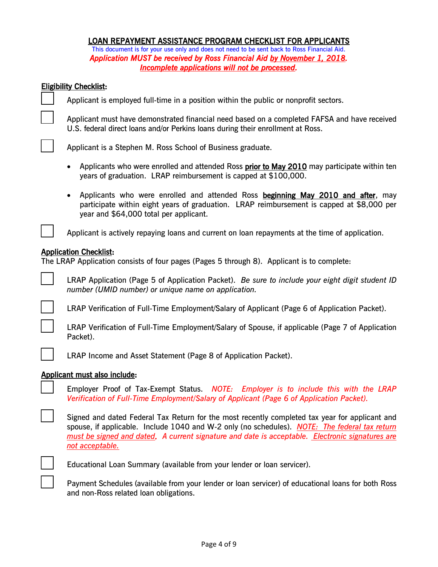#### LOAN REPAYMENT ASSISTANCE PROGRAM CHECKLIST FOR APPLICANTS

This document is for your use only and does not need to be sent back to Ross Financial Aid. *Application MUST be received by Ross Financial Aid by November 1, 2018. Incomplete applications will not be processed.* 

#### Eligibility Checklist:

ı

Applicant is employed full-time in a position within the public or nonprofit sectors.

\_\_\_ Applicant must have demonstrated financial need based on a completed FAFSA and have received U.S. federal direct loans and/or Perkins loans during their enrollment at Ross.

Applicant is a Stephen M. Ross School of Business graduate.

- Applicants who were enrolled and attended Ross prior to May 2010 may participate within ten years of graduation. LRAP reimbursement is capped at \$100,000.
- Applicants who were enrolled and attended Ross beginning May 2010 and after, may participate within eight years of graduation. LRAP reimbursement is capped at \$8,000 per year and \$64,000 total per applicant.

Applicant is actively repaying loans and current on loan repayments at the time of application.

#### Application Checklist:

The LRAP Application consists of four pages (Pages 5 through 8). Applicant is to complete:



\_\_\_ LRAP Application (Page 5 of Application Packet). *Be sure to include your eight digit student ID number (UMID number) or unique name on application.*



LRAP Verification of Full-Time Employment/Salary of Applicant (Page 6 of Application Packet).

r

LRAP Verification of Full-Time Employment/Salary of Spouse, if applicable (Page 7 of Application Packet).

LRAP Income and Asset Statement (Page 8 of Application Packet).

#### Applicant must also include:

\_\_\_ Employer Proof of Tax-Exempt Status. *NOTE: Employer is to include this with the LRAP Verification of Full-Time Employment/Salary of Applicant (Page 6 of Application Packet).*

Signed and dated Federal Tax Return for the most recently completed tax year for applicant and spouse, if applicable. Include 1040 and W-2 only (no schedules). *NOTE: The federal tax return must be signed and dated. A current signature and date is acceptable. Electronic signatures are not acceptable.*



Educational Loan Summary (available from your lender or loan servicer).

Payment Schedules (available from your lender or loan servicer) of educational loans for both Ross and non-Ross related loan obligations.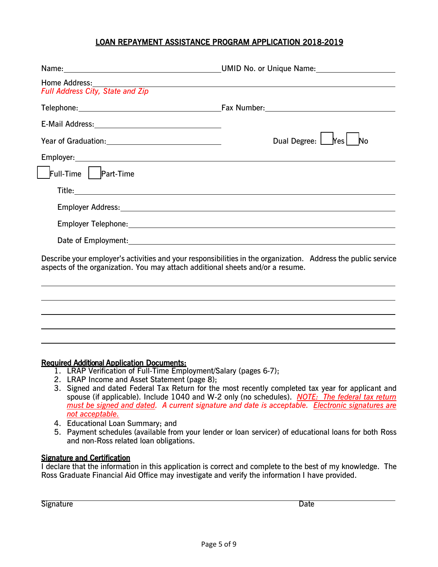#### LOAN REPAYMENT ASSISTANCE PROGRAM APPLICATION 2018-2019

| Home Address:<br>Full Address City, State and Zip                                                                      | and the control of the control of the control of the control of the control of the control of the control of the |  |  |
|------------------------------------------------------------------------------------------------------------------------|------------------------------------------------------------------------------------------------------------------|--|--|
|                                                                                                                        |                                                                                                                  |  |  |
|                                                                                                                        |                                                                                                                  |  |  |
|                                                                                                                        | Dual Degree: $\boxed{\phantom{a}}$<br>No<br>Yes <sub>l</sub>                                                     |  |  |
|                                                                                                                        |                                                                                                                  |  |  |
| $\vert$ Full-Time $\vert$   Part-Time                                                                                  |                                                                                                                  |  |  |
| Title: <u>Alexander Alexander Alexander Alexander Alexander Alexander Alexander Alexander Alexander Alexander Alex</u> |                                                                                                                  |  |  |
|                                                                                                                        |                                                                                                                  |  |  |
|                                                                                                                        |                                                                                                                  |  |  |
|                                                                                                                        |                                                                                                                  |  |  |
| aspects of the organization. You may attach additional sheets and/or a resume.                                         | Describe your employer's activities and your responsibilities in the organization. Address the public service    |  |  |
|                                                                                                                        |                                                                                                                  |  |  |
|                                                                                                                        |                                                                                                                  |  |  |

#### Required Additional Application Documents:

- 1. LRAP Verification of Full-Time Employment/Salary (pages 6-7);
- 2. LRAP Income and Asset Statement (page 8);
- 3. Signed and dated Federal Tax Return for the most recently completed tax year for applicant and spouse (if applicable). Include 1040 and W-2 only (no schedules). *NOTE: The federal tax return must be signed and dated. A current signature and date is acceptable. Electronic signatures are not acceptable.*
- 4. Educational Loan Summary; and
- 5. Payment schedules (available from your lender or loan servicer) of educational loans for both Ross and non-Ross related loan obligations.

#### Signature and Certification

I declare that the information in this application is correct and complete to the best of my knowledge. The Ross Graduate Financial Aid Office may investigate and verify the information I have provided.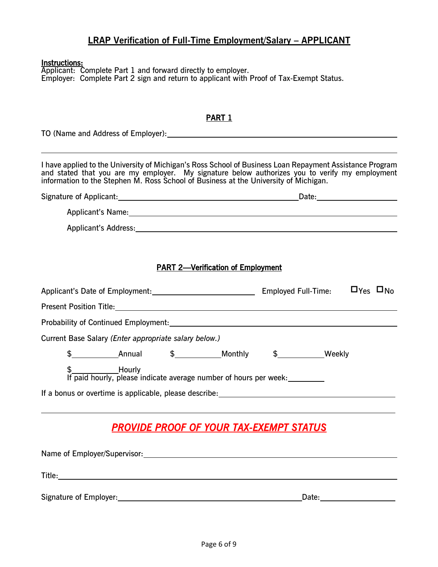## **LRAP Verification of Full-Time Employment/Salary - APPLICANT**

#### $\overline{a}$ Instructions:

Applicant: Complete Part 1 and forward directly to employer. Employer: Complete Part 2 sign and return to applicant with Proof of Tax-Exempt Status.

| <b>PART 1</b>                                                                                                                                                                                                                                                                                      |                                                                                                                                                                                                                                |
|----------------------------------------------------------------------------------------------------------------------------------------------------------------------------------------------------------------------------------------------------------------------------------------------------|--------------------------------------------------------------------------------------------------------------------------------------------------------------------------------------------------------------------------------|
| TO (Name and Address of Employer): Notified the state of the state of the state of the state of the state of the state of the state of the state of the state of the state of the state of the state of the state of the state                                                                     |                                                                                                                                                                                                                                |
| I have applied to the University of Michigan's Ross School of Business Loan Repayment Assistance Program<br>and stated that you are my employer. My signature below authorizes you to verify my employment<br>information to the Stephen M. Ross School of Business at the University of Michigan. |                                                                                                                                                                                                                                |
|                                                                                                                                                                                                                                                                                                    | Date:_________________________                                                                                                                                                                                                 |
|                                                                                                                                                                                                                                                                                                    | Applicant's Name: 1997 Contract Contract Contract Contract Contract Contract Contract Contract Contract Contract Contract Contract Contract Contract Contract Contract Contract Contract Contract Contract Contract Contract C |
|                                                                                                                                                                                                                                                                                                    |                                                                                                                                                                                                                                |
|                                                                                                                                                                                                                                                                                                    |                                                                                                                                                                                                                                |
| <b>PART 2-Verification of Employment</b>                                                                                                                                                                                                                                                           |                                                                                                                                                                                                                                |
| Applicant's Date of Employment:                                                                                                                                                                                                                                                                    | $\Box$ Yes $\Box$ No<br><b>Employed Full-Time:</b>                                                                                                                                                                             |
|                                                                                                                                                                                                                                                                                                    |                                                                                                                                                                                                                                |
| Probability of Continued Employment: Notified and Contract and Contract of Continued Employment:                                                                                                                                                                                                   |                                                                                                                                                                                                                                |
| Current Base Salary (Enter appropriate salary below.)                                                                                                                                                                                                                                              |                                                                                                                                                                                                                                |
| $\frac{1}{2}$ Annual $\frac{1}{2}$ Monthly                                                                                                                                                                                                                                                         | \$______________Weekly                                                                                                                                                                                                         |
| \$______________Hourly<br>If paid hourly, please indicate average number of hours per week:___________                                                                                                                                                                                             |                                                                                                                                                                                                                                |
|                                                                                                                                                                                                                                                                                                    |                                                                                                                                                                                                                                |
| <u>PROVIDE PROOF OF YOUR TAX-EXEMPT STATUS</u>                                                                                                                                                                                                                                                     |                                                                                                                                                                                                                                |
|                                                                                                                                                                                                                                                                                                    |                                                                                                                                                                                                                                |
|                                                                                                                                                                                                                                                                                                    |                                                                                                                                                                                                                                |
|                                                                                                                                                                                                                                                                                                    |                                                                                                                                                                                                                                |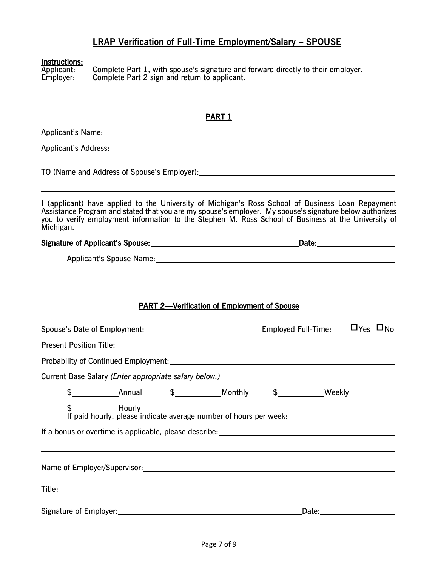### **LRAP Verification of Full-Time Employment/Salary – SPOUSE**

# Instructions:<br>Applicant:

Applicant: Complete Part 1, with spouse's signature and forward directly to their employer. Employer: Complete Part 2 sign and return to applicant.

#### PART 1

Applicant's Name:

Applicant's Address: According to the Applicant's Address:

TO (Name and Address of Spouse's Employer):

I (applicant) have applied to the University of Michigan's Ross School of Business Loan Repayment Assistance Program and stated that you are my spouse's employer. My spouse's signature below authorizes you to verify employment information to the Stephen M. Ross School of Business at the University of Michigan.

# Signature of Applicant's Spouse: Date:

Applicant's Spouse Name:

## PART 2—Verification of Employment of Spouse

|                                                                                                                                                                                                                                |  |  |                                                                                                           | Employed Full-Time: PYes DNo |                                                                                                                                                                                                                                |  |
|--------------------------------------------------------------------------------------------------------------------------------------------------------------------------------------------------------------------------------|--|--|-----------------------------------------------------------------------------------------------------------|------------------------------|--------------------------------------------------------------------------------------------------------------------------------------------------------------------------------------------------------------------------------|--|
|                                                                                                                                                                                                                                |  |  |                                                                                                           |                              |                                                                                                                                                                                                                                |  |
| Probability of Continued Employment: North Contract Contract Contract Contract Contract Contract Contract Contract Contract Contract Contract Contract Contract Contract Contract Contract Contract Contract Contract Contract |  |  |                                                                                                           |                              |                                                                                                                                                                                                                                |  |
| Current Base Salary (Enter appropriate salary below.)                                                                                                                                                                          |  |  |                                                                                                           |                              |                                                                                                                                                                                                                                |  |
|                                                                                                                                                                                                                                |  |  | $\frac{16}{10}$ Annual $\frac{16}{10}$ Monthly $\frac{16}{10}$ Weekly                                     |                              |                                                                                                                                                                                                                                |  |
|                                                                                                                                                                                                                                |  |  | \$________________Hourly<br>If paid hourly, please indicate average number of hours per week:____________ |                              |                                                                                                                                                                                                                                |  |
| Name of Employer/Supervisor: Name of Employer/Supervisor:                                                                                                                                                                      |  |  |                                                                                                           |                              |                                                                                                                                                                                                                                |  |
|                                                                                                                                                                                                                                |  |  |                                                                                                           |                              |                                                                                                                                                                                                                                |  |
|                                                                                                                                                                                                                                |  |  |                                                                                                           |                              | Date: the contract of the contract of the contract of the contract of the contract of the contract of the contract of the contract of the contract of the contract of the contract of the contract of the contract of the cont |  |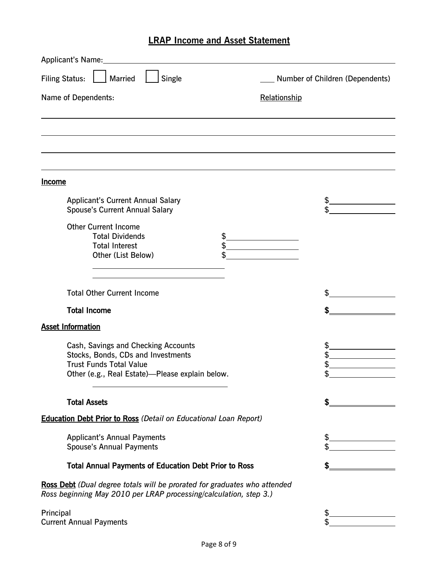# **LRAP Income and Asset Statement**

| Applicant's Name:<br><u>and the state of the state of the state of the state of the state of the state of the state of the state of the state of the state of the state of the state of the state of the state of the state of the state of the state</u> |                                 |
|-----------------------------------------------------------------------------------------------------------------------------------------------------------------------------------------------------------------------------------------------------------|---------------------------------|
| <b>Filing Status:</b><br>Single<br><b>Married</b>                                                                                                                                                                                                         | Number of Children (Dependents) |
| Name of Dependents:                                                                                                                                                                                                                                       | Relationship                    |
|                                                                                                                                                                                                                                                           |                                 |
|                                                                                                                                                                                                                                                           |                                 |
| <b>Income</b>                                                                                                                                                                                                                                             |                                 |
| <b>Applicant's Current Annual Salary</b><br><b>Spouse's Current Annual Salary</b>                                                                                                                                                                         | \$<br>\$                        |
| <b>Other Current Income</b><br><b>Total Dividends</b><br>\$<br><b>Total Interest</b><br>Other (List Below)<br>\$                                                                                                                                          |                                 |
| <b>Total Other Current Income</b>                                                                                                                                                                                                                         | \$                              |
| <b>Total Income</b>                                                                                                                                                                                                                                       | \$                              |
| <b>Asset Information</b>                                                                                                                                                                                                                                  |                                 |
| Cash, Savings and Checking Accounts<br>Stocks, Bonds, CDs and Investments<br><b>Trust Funds Total Value</b><br>Other (e.g., Real Estate)-Please explain below.                                                                                            | \$<br>\$<br>\$<br>\$            |
| <b>Total Assets</b>                                                                                                                                                                                                                                       | \$                              |
| <b>Education Debt Prior to Ross (Detail on Educational Loan Report)</b>                                                                                                                                                                                   |                                 |
| <b>Applicant's Annual Payments</b><br><b>Spouse's Annual Payments</b>                                                                                                                                                                                     | \$<br>\$                        |
| <b>Total Annual Payments of Education Debt Prior to Ross</b>                                                                                                                                                                                              | \$                              |
| Ross Debt (Dual degree totals will be prorated for graduates who attended<br>Ross beginning May 2010 per LRAP processing/calculation, step 3.)                                                                                                            |                                 |
| Principal<br><b>Current Annual Payments</b>                                                                                                                                                                                                               | \$<br>\$                        |